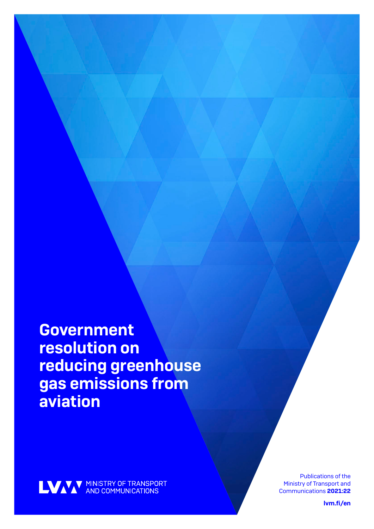Government resolution on reducing greenhouse gas emissions from aviation



Publications of the Ministry of Transport and Communications 2021:22

lvm.fi /en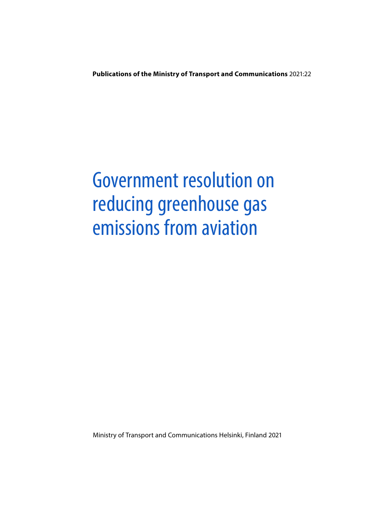**Publications of the Ministry of Transport and Communications** 2021:22

# Government resolution on reducing greenhouse gas emissions from aviation

Ministry of Transport and Communications Helsinki, Finland 2021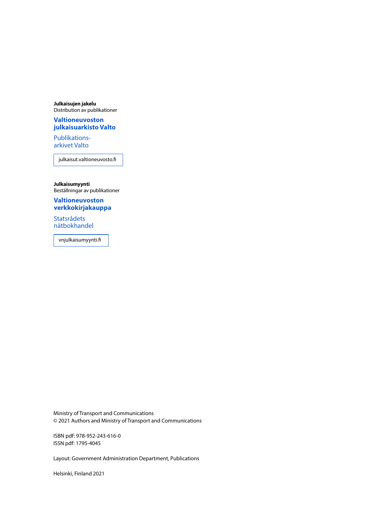**Julkaisujen jakelu** Distribution av publikationer

### **Valtioneuvoston [julkaisuarkisto Valto](https://julkaisut.valtioneuvosto.fi/)**

Publikationsarkivet Valto

julkaisut.valtioneuvosto.fi

**Julkaisumyynti** Beställningar av publikationer

**Valtioneuvoston [verkkokirjakauppa](https://vnjulkaisumyynti.fi/)**

Statsrådets nätbokhandel

vnjulkaisumyynti.fi

Ministry of Transport and Communications © 2021 Authors and Ministry of Transport and Communications

ISBN pdf: 978-952-243-616-0 ISSN pdf: 1795-4045

Layout: Government Administration Department, Publications

Helsinki, Finland 2021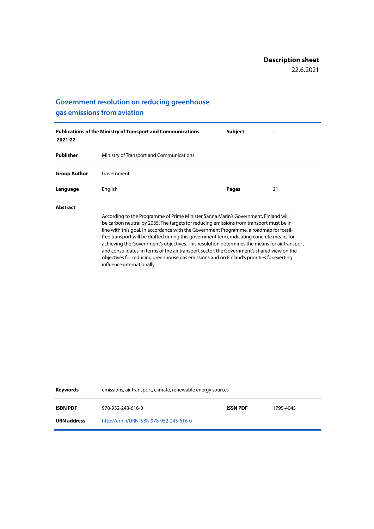### **Government resolution on reducing greenhouse**

### **gas emissions from aviation**

| 2021:22             | <b>Publications of the Ministry of Transport and Communications</b> | <b>Subject</b> | ۰  |
|---------------------|---------------------------------------------------------------------|----------------|----|
| Publisher           | Ministry of Transport and Communications                            |                |    |
| <b>Group Author</b> | Government                                                          |                |    |
| Language            | English                                                             | <b>Pages</b>   | 21 |

**Abstract**

According to the Programme of Prime Minister Sanna Marin's Government, Finland will be carbon neutral by 2035. The targets for reducing emissions from transport must be in line with this goal. In accordance with the Government Programme, a roadmap for fossilfree transport will be drafted during this government term, indicating concrete means for achieving the Government's objectives. This resolution determines the means for air transport and consolidates, in terms of the air transport sector, the Government's shared view on the objectives for reducing greenhouse gas emissions and on Finland's priorities for exerting influence internationally.

| Keywords           | emissions, air transport, climate, renewable energy sources |                 |           |
|--------------------|-------------------------------------------------------------|-----------------|-----------|
| <b>ISBN PDF</b>    | 978-952-243-616-0                                           | <b>ISSN PDF</b> | 1795-4045 |
| <b>URN</b> address | http://urn.fi/URN:ISBN:978-952-243-616-0                    |                 |           |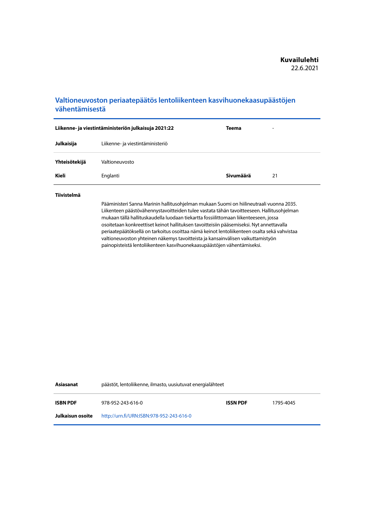### **Valtioneuvoston periaatepäätös lentoliikenteen kasvihuonekaasupäästöjen vähentämisestä**

| Liikenne- ja viestintäministeriön julkaisuja 2021:22 |                                  | Teema     | -  |
|------------------------------------------------------|----------------------------------|-----------|----|
| Julkaisija                                           | Liikenne- ja viestintäministeriö |           |    |
| Yhteisötekijä                                        | Valtioneuvosto                   |           |    |
| Kieli                                                | Englanti                         | Sivumäärä | 21 |

#### **Tiivistelmä**

Pääministeri Sanna Marinin hallitusohjelman mukaan Suomi on hiilineutraali vuonna 2035. Liikenteen päästövähennystavoitteiden tulee vastata tähän tavoitteeseen. Hallitusohjelman mukaan tällä hallituskaudella luodaan tiekartta fossiilittomaan liikenteeseen, jossa osoitetaan konkreettiset keinot hallituksen tavoitteisiin pääsemiseksi. Nyt annettavalla periaatepäätöksellä on tarkoitus osoittaa nämä keinot lentoliikenteen osalta sekä vahvistaa valtioneuvoston yhteinen näkemys tavoitteista ja kansainvälisen vaikuttamistyön painopisteistä lentoliikenteen kasvihuonekaasupäästöjen vähentämiseksi.

**Asiasanat** päästöt, lentoliikenne, ilmasto, uusiutuvat energialähteet

**ISBN PDF** 978-952-243-616-0 **ISSN PDF** 1795-4045

**Julkaisun osoite** [http://urn.fi/URN:ISBN:](http://)978-952-243-616-0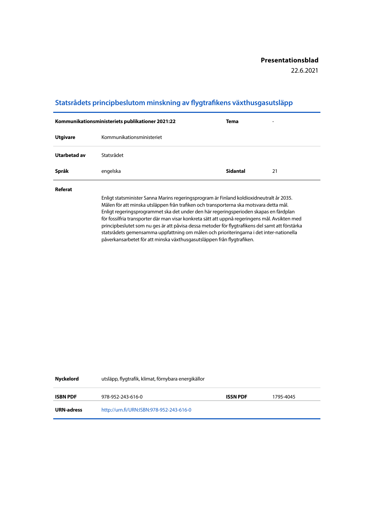22.6.2021

### **Statsrådets principbeslutom minskning av flygtrafikens växthusgasutsläpp**

| Kommunikationsministeriets publikationer 2021:22 |                           | Tema     | $\sim$ |
|--------------------------------------------------|---------------------------|----------|--------|
| <b>Utgivare</b>                                  | Kommunikationsministeriet |          |        |
| Utarbetad av                                     | Statsrådet                |          |        |
| Språk                                            | engelska                  | Sidantal | 21     |

### **Referat**

Enligt statsminister Sanna Marins regeringsprogram är Finland koldioxidneutralt år 2035. Målen för att minska utsläppen från trafiken och transporterna ska motsvara detta mål. Enligt regeringsprogrammet ska det under den här regeringsperioden skapas en färdplan för fossilfria transporter där man visar konkreta sätt att uppnå regeringens mål. Avsikten med principbeslutet som nu ges är att påvisa dessa metoder för flygtrafikens del samt att förstärka statsrådets gemensamma uppfattning om målen och prioriteringarna i det inter-nationella påverkansarbetet för att minska växthusgasutsläppen från flygtrafiken.

| Nyckelord         | utsläpp, flygtrafik, klimat, förnybara energikällor |                 |           |
|-------------------|-----------------------------------------------------|-----------------|-----------|
| <b>ISBN PDF</b>   | 978-952-243-616-0                                   | <b>ISSN PDF</b> | 1795-4045 |
| <b>URN-adress</b> | http://urn.fi/URN:ISBN:978-952-243-616-0            |                 |           |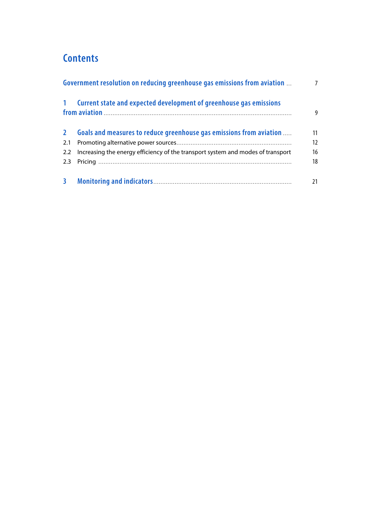## **Contents**

| Government resolution on reducing greenhouse gas emissions from aviation |                                                                                 | $\overline{7}$ |
|--------------------------------------------------------------------------|---------------------------------------------------------------------------------|----------------|
|                                                                          | 1 Current state and expected development of greenhouse gas emissions            | 9              |
| $2^{\circ}$                                                              | Goals and measures to reduce greenhouse gas emissions from aviation             | 11             |
| 2.1                                                                      |                                                                                 | 12             |
| $2.2^{\circ}$                                                            | Increasing the energy efficiency of the transport system and modes of transport | 16             |
| 2.3                                                                      |                                                                                 | 18             |
| $\mathbf{3}$                                                             |                                                                                 | 21             |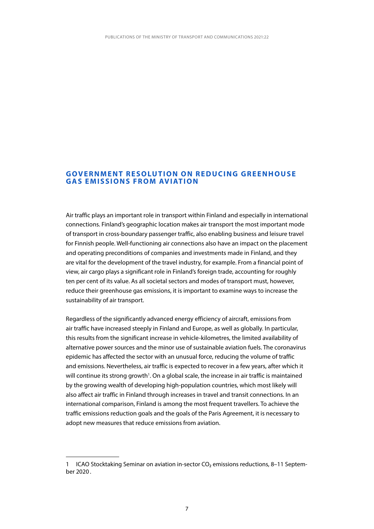### <span id="page-7-0"></span>**GOVERNMENT RESOLUTION ON REDUCING GREENHOUSE GAS EMISSIONS FROM AVIATION**

Air traffic plays an important role in transport within Finland and especially in international connections. Finland's geographic location makes air transport the most important mode of transport in cross-boundary passenger traffic, also enabling business and leisure travel for Finnish people. Well-functioning air connections also have an impact on the placement and operating preconditions of companies and investments made in Finland, and they are vital for the development of the travel industry, for example. From a financial point of view, air cargo plays a significant role in Finland's foreign trade, accounting for roughly ten per cent of its value. As all societal sectors and modes of transport must, however, reduce their greenhouse gas emissions, it is important to examine ways to increase the sustainability of air transport.

Regardless of the significantly advanced energy efficiency of aircraft, emissions from air traffic have increased steeply in Finland and Europe, as well as globally. In particular, this results from the significant increase in vehicle-kilometres, the limited availability of alternative power sources and the minor use of sustainable aviation fuels. The coronavirus epidemic has affected the sector with an unusual force, reducing the volume of traffic and emissions. Nevertheless, air traffic is expected to recover in a few years, after which it will continue its strong growth<sup>1</sup>. On a global scale, the increase in air traffic is maintained by the growing wealth of developing high-population countries, which most likely will also affect air traffic in Finland through increases in travel and transit connections. In an international comparison, Finland is among the most frequent travellers. To achieve the traffic emissions reduction goals and the goals of the Paris Agreement, it is necessary to adopt new measures that reduce emissions from aviation.

<sup>1</sup> ICAO Stocktaking Seminar on aviation in-sector  $CO<sub>2</sub>$  emissions reductions, 8–11 September 2020 .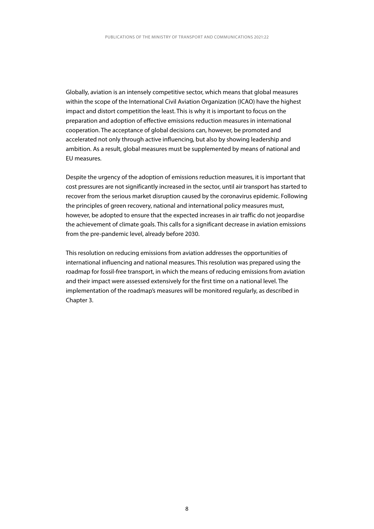Globally, aviation is an intensely competitive sector, which means that global measures within the scope of the International Civil Aviation Organization (ICAO) have the highest impact and distort competition the least. This is why it is important to focus on the preparation and adoption of effective emissions reduction measures in international cooperation. The acceptance of global decisions can, however, be promoted and accelerated not only through active influencing, but also by showing leadership and ambition. As a result, global measures must be supplemented by means of national and EU measures.

Despite the urgency of the adoption of emissions reduction measures, it is important that cost pressures are not significantly increased in the sector, until air transport has started to recover from the serious market disruption caused by the coronavirus epidemic. Following the principles of green recovery, national and international policy measures must, however, be adopted to ensure that the expected increases in air traffic do not jeopardise the achievement of climate goals. This calls for a significant decrease in aviation emissions from the pre-pandemic level, already before 2030.

This resolution on reducing emissions from aviation addresses the opportunities of international influencing and national measures. This resolution was prepared using the roadmap for fossil-free transport, in which the means of reducing emissions from aviation and their impact were assessed extensively for the first time on a national level. The implementation of the roadmap's measures will be monitored regularly, as described in Chapter 3.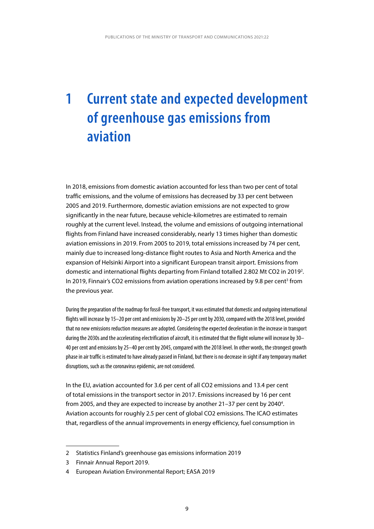## <span id="page-9-0"></span>**1 Current state and expected development of greenhouse gas emissions from aviation**

In 2018, emissions from domestic aviation accounted for less than two per cent of total traffic emissions, and the volume of emissions has decreased by 33 per cent between 2005 and 2019. Furthermore, domestic aviation emissions are not expected to grow significantly in the near future, because vehicle-kilometres are estimated to remain roughly at the current level. Instead, the volume and emissions of outgoing international flights from Finland have increased considerably, nearly 13 times higher than domestic aviation emissions in 2019. From 2005 to 2019, total emissions increased by 74 per cent, mainly due to increased long-distance flight routes to Asia and North America and the expansion of Helsinki Airport into a significant European transit airport. Emissions from domestic and international flights departing from Finland totalled 2.802 Mt CO2 in 2019<sup>2</sup>. In 2019, Finnair's CO2 emissions from aviation operations increased by 9.8 per cent<sup>3</sup> from the previous year.

During the preparation of the roadmap for fossil-free transport, it was estimated that domestic and outgoing international flights will increase by 15–20 per cent and emissions by 20–25 per cent by 2030, compared with the 2018 level, provided that no new emissions reduction measures are adopted. Considering the expected deceleration in the increase in transport during the 2030s and the accelerating electrification of aircraft, it is estimated that the flight volume will increase by 30– 40 per cent and emissions by 25–40 per cent by 2045, compared with the 2018 level. In other words, the strongest growth phase in air traffic is estimated to have already passed in Finland, but there is no decrease in sight if any temporary market disruptions, such as the coronavirus epidemic, are not considered.

In the EU, aviation accounted for 3.6 per cent of all CO2 emissions and 13.4 per cent of total emissions in the transport sector in 2017. Emissions increased by 16 per cent from 2005, and they are expected to increase by another 21–37 per cent by 2040 $4$ . Aviation accounts for roughly 2.5 per cent of global CO2 emissions. The ICAO estimates that, regardless of the annual improvements in energy efficiency, fuel consumption in

<sup>2</sup> Statistics Finland's greenhouse gas emissions information 2019

<sup>3</sup> Finnair Annual Report 2019.

<sup>4</sup> European Aviation Environmental Report; EASA 2019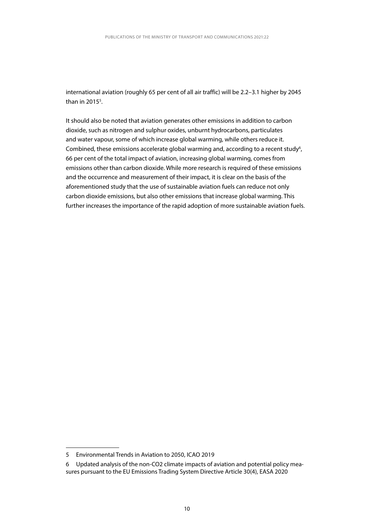international aviation (roughly 65 per cent of all air traffic) will be 2.2–3.1 higher by 2045 than in 2015 $5$ .

It should also be noted that aviation generates other emissions in addition to carbon dioxide, such as nitrogen and sulphur oxides, unburnt hydrocarbons, particulates and water vapour, some of which increase global warming, while others reduce it. Combined, these emissions accelerate global warming and, according to a recent study<sup>6</sup>, 66 per cent of the total impact of aviation, increasing global warming, comes from emissions other than carbon dioxide. While more research is required of these emissions and the occurrence and measurement of their impact, it is clear on the basis of the aforementioned study that the use of sustainable aviation fuels can reduce not only carbon dioxide emissions, but also other emissions that increase global warming. This further increases the importance of the rapid adoption of more sustainable aviation fuels.

<sup>5</sup> Environmental Trends in Aviation to 2050, ICAO 2019

<sup>6</sup> Updated analysis of the non-CO2 climate impacts of aviation and potential policy measures pursuant to the EU Emissions Trading System Directive Article 30(4), EASA 2020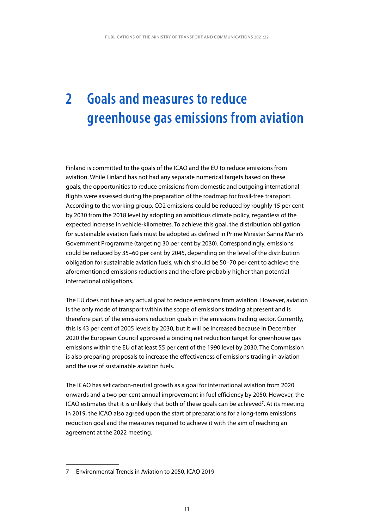## <span id="page-11-0"></span>**2 Goals and measures to reduce greenhouse gas emissions from aviation**

Finland is committed to the goals of the ICAO and the EU to reduce emissions from aviation. While Finland has not had any separate numerical targets based on these goals, the opportunities to reduce emissions from domestic and outgoing international flights were assessed during the preparation of the roadmap for fossil-free transport. According to the working group, CO2 emissions could be reduced by roughly 15 per cent by 2030 from the 2018 level by adopting an ambitious climate policy, regardless of the expected increase in vehicle-kilometres. To achieve this goal, the distribution obligation for sustainable aviation fuels must be adopted as defined in Prime Minister Sanna Marin's Government Programme (targeting 30 per cent by 2030). Correspondingly, emissions could be reduced by 35–60 per cent by 2045, depending on the level of the distribution obligation for sustainable aviation fuels, which should be 50–70 per cent to achieve the aforementioned emissions reductions and therefore probably higher than potential international obligations.

The EU does not have any actual goal to reduce emissions from aviation. However, aviation is the only mode of transport within the scope of emissions trading at present and is therefore part of the emissions reduction goals in the emissions trading sector. Currently, this is 43 per cent of 2005 levels by 2030, but it will be increased because in December 2020 the European Council approved a binding net reduction target for greenhouse gas emissions within the EU of at least 55 per cent of the 1990 level by 2030. The Commission is also preparing proposals to increase the effectiveness of emissions trading in aviation and the use of sustainable aviation fuels.

The ICAO has set carbon-neutral growth as a goal for international aviation from 2020 onwards and a two per cent annual improvement in fuel efficiency by 2050. However, the ICAO estimates that it is unlikely that both of these goals can be achieved<sup>7</sup>. At its meeting in 2019, the ICAO also agreed upon the start of preparations for a long-term emissions reduction goal and the measures required to achieve it with the aim of reaching an agreement at the 2022 meeting.

<sup>7</sup> Environmental Trends in Aviation to 2050, ICAO 2019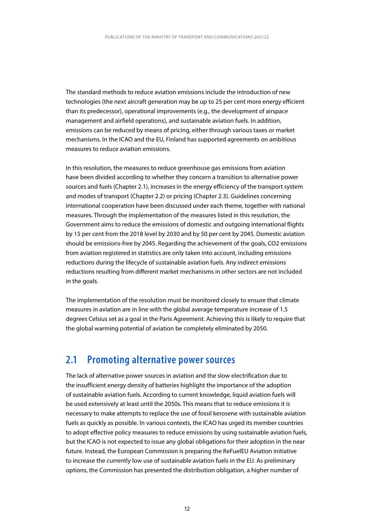<span id="page-12-0"></span>The standard methods to reduce aviation emissions include the introduction of new technologies (the next aircraft generation may be up to 25 per cent more energy efficient than its predecessor), operational improvements (e.g., the development of airspace management and airfield operations), and sustainable aviation fuels. In addition, emissions can be reduced by means of pricing, either through various taxes or market mechanisms. In the ICAO and the EU, Finland has supported agreements on ambitious measures to reduce aviation emissions.

In this resolution, the measures to reduce greenhouse gas emissions from aviation have been divided according to whether they concern a transition to alternative power sources and fuels (Chapter 2.1), increases in the energy efficiency of the transport system and modes of transport (Chapter 2.2) or pricing (Chapter 2.3). Guidelines concerning international cooperation have been discussed under each theme, together with national measures. Through the implementation of the measures listed in this resolution, the Government aims to reduce the emissions of domestic and outgoing international flights by 15 per cent from the 2018 level by 2030 and by 50 per cent by 2045. Domestic aviation should be emissions-free by 2045. Regarding the achievement of the goals, CO2 emissions from aviation registered in statistics are only taken into account, including emissions reductions during the lifecycle of sustainable aviation fuels. Any indirect emissions reductions resulting from different market mechanisms in other sectors are not included in the goals.

The implementation of the resolution must be monitored closely to ensure that climate measures in aviation are in line with the global average temperature increase of 1.5 degrees Celsius set as a goal in the Paris Agreement. Achieving this is likely to require that the global warming potential of aviation be completely eliminated by 2050.

### **2.1 Promoting alternative power sources**

The lack of alternative power sources in aviation and the slow electrification due to the insufficient energy density of batteries highlight the importance of the adoption of sustainable aviation fuels. According to current knowledge, liquid aviation fuels will be used extensively at least until the 2050s. This means that to reduce emissions it is necessary to make attempts to replace the use of fossil kerosene with sustainable aviation fuels as quickly as possible. In various contexts, the ICAO has urged its member countries to adopt effective policy measures to reduce emissions by using sustainable aviation fuels, but the ICAO is not expected to issue any global obligations for their adoption in the near future. Instead, the European Commission is preparing the ReFuelEU Aviation initiative to increase the currently low use of sustainable aviation fuels in the EU. As preliminary options, the Commission has presented the distribution obligation, a higher number of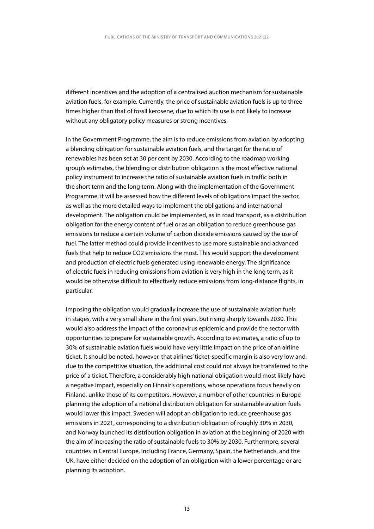different incentives and the adoption of a centralised auction mechanism for sustainable aviation fuels, for example. Currently, the price of sustainable aviation fuels is up to three times higher than that of fossil kerosene, due to which its use is not likely to increase without any obligatory policy measures or strong incentives.

In the Government Programme, the aim is to reduce emissions from aviation by adopting a blending obligation for sustainable aviation fuels, and the target for the ratio of renewables has been set at 30 per cent by 2030. According to the roadmap working group's estimates, the blending or distribution obligation is the most effective national policy instrument to increase the ratio of sustainable aviation fuels in traffic both in the short term and the long term. Along with the implementation of the Government Programme, it will be assessed how the different levels of obligations impact the sector, as well as the more detailed ways to implement the obligations and international development. The obligation could be implemented, as in road transport, as a distribution obligation for the energy content of fuel or as an obligation to reduce greenhouse gas emissions to reduce a certain volume of carbon dioxide emissions caused by the use of fuel. The latter method could provide incentives to use more sustainable and advanced fuels that help to reduce CO2 emissions the most. This would support the development and production of electric fuels generated using renewable energy. The significance of electric fuels in reducing emissions from aviation is very high in the long term, as it would be otherwise difficult to effectively reduce emissions from long-distance flights, in particular.

Imposing the obligation would gradually increase the use of sustainable aviation fuels in stages, with a very small share in the first years, but rising sharply towards 2030. This would also address the impact of the coronavirus epidemic and provide the sector with opportunities to prepare for sustainable growth. According to estimates, a ratio of up to 30% of sustainable aviation fuels would have very little impact on the price of an airline ticket. It should be noted, however, that airlines' ticket-specific margin is also very low and, due to the competitive situation, the additional cost could not always be transferred to the price of a ticket. Therefore, a considerably high national obligation would most likely have a negative impact, especially on Finnair's operations, whose operations focus heavily on Finland, unlike those of its competitors. However, a number of other countries in Europe planning the adoption of a national distribution obligation for sustainable aviation fuels would lower this impact. Sweden will adopt an obligation to reduce greenhouse gas emissions in 2021, corresponding to a distribution obligation of roughly 30% in 2030, and Norway launched its distribution obligation in aviation at the beginning of 2020 with the aim of increasing the ratio of sustainable fuels to 30% by 2030. Furthermore, several countries in Central Europe, including France, Germany, Spain, the Netherlands, and the UK, have either decided on the adoption of an obligation with a lower percentage or are planning its adoption.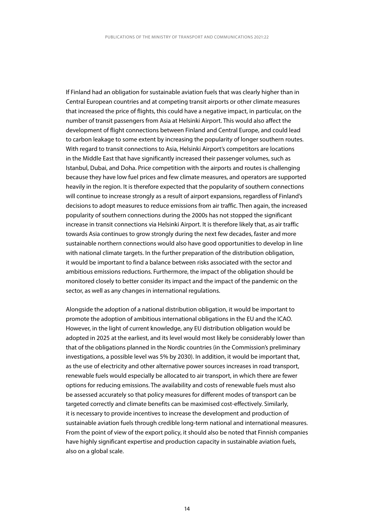If Finland had an obligation for sustainable aviation fuels that was clearly higher than in Central European countries and at competing transit airports or other climate measures that increased the price of flights, this could have a negative impact, in particular, on the number of transit passengers from Asia at Helsinki Airport. This would also affect the development of flight connections between Finland and Central Europe, and could lead to carbon leakage to some extent by increasing the popularity of longer southern routes. With regard to transit connections to Asia, Helsinki Airport's competitors are locations in the Middle East that have significantly increased their passenger volumes, such as Istanbul, Dubai, and Doha. Price competition with the airports and routes is challenging because they have low fuel prices and few climate measures, and operators are supported heavily in the region. It is therefore expected that the popularity of southern connections will continue to increase strongly as a result of airport expansions, regardless of Finland's decisions to adopt measures to reduce emissions from air traffic. Then again, the increased popularity of southern connections during the 2000s has not stopped the significant increase in transit connections via Helsinki Airport. It is therefore likely that, as air traffic towards Asia continues to grow strongly during the next few decades, faster and more sustainable northern connections would also have good opportunities to develop in line with national climate targets. In the further preparation of the distribution obligation, it would be important to find a balance between risks associated with the sector and ambitious emissions reductions. Furthermore, the impact of the obligation should be monitored closely to better consider its impact and the impact of the pandemic on the sector, as well as any changes in international regulations.

Alongside the adoption of a national distribution obligation, it would be important to promote the adoption of ambitious international obligations in the EU and the ICAO. However, in the light of current knowledge, any EU distribution obligation would be adopted in 2025 at the earliest, and its level would most likely be considerably lower than that of the obligations planned in the Nordic countries (in the Commission's preliminary investigations, a possible level was 5% by 2030). In addition, it would be important that, as the use of electricity and other alternative power sources increases in road transport, renewable fuels would especially be allocated to air transport, in which there are fewer options for reducing emissions. The availability and costs of renewable fuels must also be assessed accurately so that policy measures for different modes of transport can be targeted correctly and climate benefits can be maximised cost-effectively. Similarly, it is necessary to provide incentives to increase the development and production of sustainable aviation fuels through credible long-term national and international measures. From the point of view of the export policy, it should also be noted that Finnish companies have highly significant expertise and production capacity in sustainable aviation fuels, also on a global scale.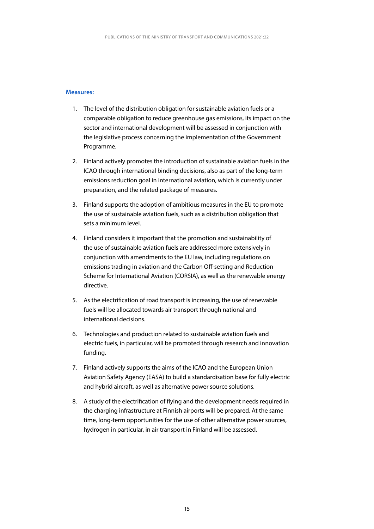### **Measures:**

- 1. The level of the distribution obligation for sustainable aviation fuels or a comparable obligation to reduce greenhouse gas emissions, its impact on the sector and international development will be assessed in conjunction with the legislative process concerning the implementation of the Government Programme.
- 2. Finland actively promotes the introduction of sustainable aviation fuels in the ICAO through international binding decisions, also as part of the long-term emissions reduction goal in international aviation, which is currently under preparation, and the related package of measures.
- 3. Finland supports the adoption of ambitious measures in the EU to promote the use of sustainable aviation fuels, such as a distribution obligation that sets a minimum level.
- 4. Finland considers it important that the promotion and sustainability of the use of sustainable aviation fuels are addressed more extensively in conjunction with amendments to the EU law, including regulations on emissions trading in aviation and the Carbon Off-setting and Reduction Scheme for International Aviation (CORSIA), as well as the renewable energy directive.
- 5. As the electrification of road transport is increasing, the use of renewable fuels will be allocated towards air transport through national and international decisions.
- 6. Technologies and production related to sustainable aviation fuels and electric fuels, in particular, will be promoted through research and innovation funding.
- 7. Finland actively supports the aims of the ICAO and the European Union Aviation Safety Agency (EASA) to build a standardisation base for fully electric and hybrid aircraft, as well as alternative power source solutions.
- 8. A study of the electrification of flying and the development needs required in the charging infrastructure at Finnish airports will be prepared. At the same time, long-term opportunities for the use of other alternative power sources, hydrogen in particular, in air transport in Finland will be assessed.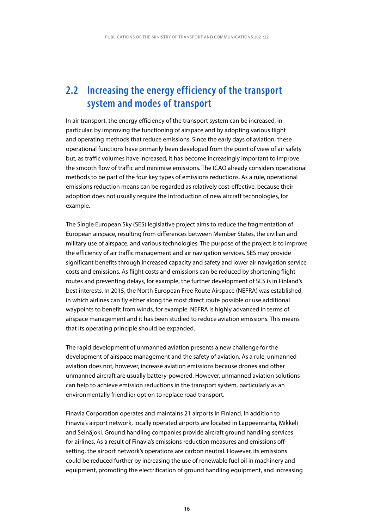### <span id="page-16-0"></span>**2.2 Increasing the energy efficiency of the transport system and modes of transport**

In air transport, the energy efficiency of the transport system can be increased, in particular, by improving the functioning of airspace and by adopting various flight and operating methods that reduce emissions. Since the early days of aviation, these operational functions have primarily been developed from the point of view of air safety but, as traffic volumes have increased, it has become increasingly important to improve the smooth flow of traffic and minimise emissions. The ICAO already considers operational methods to be part of the four key types of emissions reductions. As a rule, operational emissions reduction means can be regarded as relatively cost-effective, because their adoption does not usually require the introduction of new aircraft technologies, for example.

The Single European Sky (SES) legislative project aims to reduce the fragmentation of European airspace, resulting from differences between Member States, the civilian and military use of airspace, and various technologies. The purpose of the project is to improve the efficiency of air traffic management and air navigation services. SES may provide significant benefits through increased capacity and safety and lower air navigation service costs and emissions. As flight costs and emissions can be reduced by shortening flight routes and preventing delays, for example, the further development of SES is in Finland's best interests. In 2015, the North European Free Route Airspace (NEFRA) was established, in which airlines can fly either along the most direct route possible or use additional waypoints to benefit from winds, for example. NEFRA is highly advanced in terms of airspace management and it has been studied to reduce aviation emissions. This means that its operating principle should be expanded.

The rapid development of unmanned aviation presents a new challenge for the development of airspace management and the safety of aviation. As a rule, unmanned aviation does not, however, increase aviation emissions because drones and other unmanned aircraft are usually battery-powered. However, unmanned aviation solutions can help to achieve emission reductions in the transport system, particularly as an environmentally friendlier option to replace road transport.

Finavia Corporation operates and maintains 21 airports in Finland. In addition to Finavia's airport network, locally operated airports are located in Lappeenranta, Mikkeli and Seinäjoki. Ground handling companies provide aircraft ground handling services for airlines. As a result of Finavia's emissions reduction measures and emissions offsetting, the airport network's operations are carbon neutral. However, its emissions could be reduced further by increasing the use of renewable fuel oil in machinery and equipment, promoting the electrification of ground handling equipment, and increasing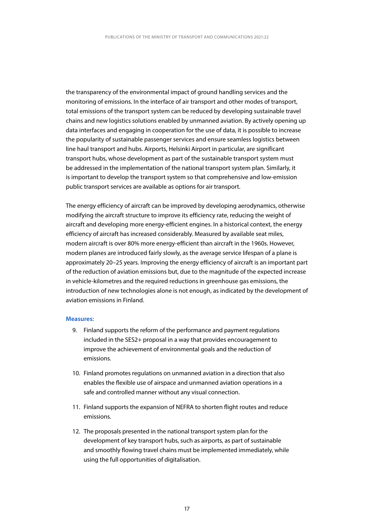the transparency of the environmental impact of ground handling services and the monitoring of emissions. In the interface of air transport and other modes of transport, total emissions of the transport system can be reduced by developing sustainable travel chains and new logistics solutions enabled by unmanned aviation. By actively opening up data interfaces and engaging in cooperation for the use of data, it is possible to increase the popularity of sustainable passenger services and ensure seamless logistics between line haul transport and hubs. Airports, Helsinki Airport in particular, are significant transport hubs, whose development as part of the sustainable transport system must be addressed in the implementation of the national transport system plan. Similarly, it is important to develop the transport system so that comprehensive and low-emission public transport services are available as options for air transport.

The energy efficiency of aircraft can be improved by developing aerodynamics, otherwise modifying the aircraft structure to improve its efficiency rate, reducing the weight of aircraft and developing more energy-efficient engines. In a historical context, the energy efficiency of aircraft has increased considerably. Measured by available seat miles, modern aircraft is over 80% more energy-efficient than aircraft in the 1960s. However, modern planes are introduced fairly slowly, as the average service lifespan of a plane is approximately 20–25 years. Improving the energy efficiency of aircraft is an important part of the reduction of aviation emissions but, due to the magnitude of the expected increase in vehicle-kilometres and the required reductions in greenhouse gas emissions, the introduction of new technologies alone is not enough, as indicated by the development of aviation emissions in Finland.

#### **Measures:**

- 9. Finland supports the reform of the performance and payment regulations included in the SES2+ proposal in a way that provides encouragement to improve the achievement of environmental goals and the reduction of emissions.
- 10. Finland promotes regulations on unmanned aviation in a direction that also enables the flexible use of airspace and unmanned aviation operations in a safe and controlled manner without any visual connection.
- 11. Finland supports the expansion of NEFRA to shorten flight routes and reduce emissions.
- 12. The proposals presented in the national transport system plan for the development of key transport hubs, such as airports, as part of sustainable and smoothly flowing travel chains must be implemented immediately, while using the full opportunities of digitalisation.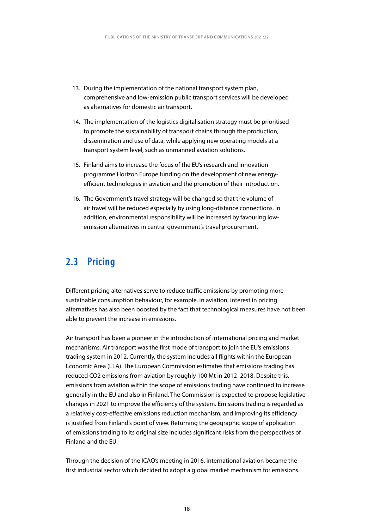- <span id="page-18-0"></span>13. During the implementation of the national transport system plan, comprehensive and low-emission public transport services will be developed as alternatives for domestic air transport.
- 14. The implementation of the logistics digitalisation strategy must be prioritised to promote the sustainability of transport chains through the production, dissemination and use of data, while applying new operating models at a transport system level, such as unmanned aviation solutions.
- 15. Finland aims to increase the focus of the EU's research and innovation programme Horizon Europe funding on the development of new energyefficient technologies in aviation and the promotion of their introduction.
- 16. The Government's travel strategy will be changed so that the volume of air travel will be reduced especially by using long-distance connections. In addition, environmental responsibility will be increased by favouring lowemission alternatives in central government's travel procurement.

### **2.3 Pricing**

Different pricing alternatives serve to reduce traffic emissions by promoting more sustainable consumption behaviour, for example. In aviation, interest in pricing alternatives has also been boosted by the fact that technological measures have not been able to prevent the increase in emissions.

Air transport has been a pioneer in the introduction of international pricing and market mechanisms. Air transport was the first mode of transport to join the EU's emissions trading system in 2012. Currently, the system includes all flights within the European Economic Area (EEA). The European Commission estimates that emissions trading has reduced CO2 emissions from aviation by roughly 100 Mt in 2012–2018. Despite this, emissions from aviation within the scope of emissions trading have continued to increase generally in the EU and also in Finland. The Commission is expected to propose legislative changes in 2021 to improve the efficiency of the system. Emissions trading is regarded as a relatively cost-effective emissions reduction mechanism, and improving its efficiency is justified from Finland's point of view. Returning the geographic scope of application of emissions trading to its original size includes significant risks from the perspectives of Finland and the EU.

Through the decision of the ICAO's meeting in 2016, international aviation became the first industrial sector which decided to adopt a global market mechanism for emissions.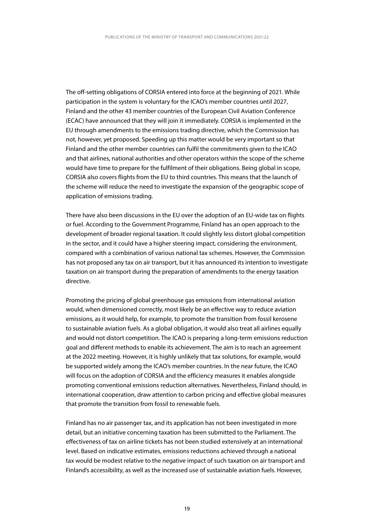The off-setting obligations of CORSIA entered into force at the beginning of 2021. While participation in the system is voluntary for the ICAO's member countries until 2027, Finland and the other 43 member countries of the European Civil Aviation Conference (ECAC) have announced that they will join it immediately. CORSIA is implemented in the EU through amendments to the emissions trading directive, which the Commission has not, however, yet proposed. Speeding up this matter would be very important so that Finland and the other member countries can fulfil the commitments given to the ICAO and that airlines, national authorities and other operators within the scope of the scheme would have time to prepare for the fulfilment of their obligations. Being global in scope, CORSIA also covers flights from the EU to third countries. This means that the launch of the scheme will reduce the need to investigate the expansion of the geographic scope of application of emissions trading.

There have also been discussions in the EU over the adoption of an EU-wide tax on flights or fuel. According to the Government Programme, Finland has an open approach to the development of broader regional taxation. It could slightly less distort global competition in the sector, and it could have a higher steering impact, considering the environment, compared with a combination of various national tax schemes. However, the Commission has not proposed any tax on air transport, but it has announced its intention to investigate taxation on air transport during the preparation of amendments to the energy taxation directive.

Promoting the pricing of global greenhouse gas emissions from international aviation would, when dimensioned correctly, most likely be an effective way to reduce aviation emissions, as it would help, for example, to promote the transition from fossil kerosene to sustainable aviation fuels. As a global obligation, it would also treat all airlines equally and would not distort competition. The ICAO is preparing a long-term emissions reduction goal and different methods to enable its achievement. The aim is to reach an agreement at the 2022 meeting. However, it is highly unlikely that tax solutions, for example, would be supported widely among the ICAO's member countries. In the near future, the ICAO will focus on the adoption of CORSIA and the efficiency measures it enables alongside promoting conventional emissions reduction alternatives. Nevertheless, Finland should, in international cooperation, draw attention to carbon pricing and effective global measures that promote the transition from fossil to renewable fuels.

Finland has no air passenger tax, and its application has not been investigated in more detail, but an initiative concerning taxation has been submitted to the Parliament. The effectiveness of tax on airline tickets has not been studied extensively at an international level. Based on indicative estimates, emissions reductions achieved through a national tax would be modest relative to the negative impact of such taxation on air transport and Finland's accessibility, as well as the increased use of sustainable aviation fuels. However,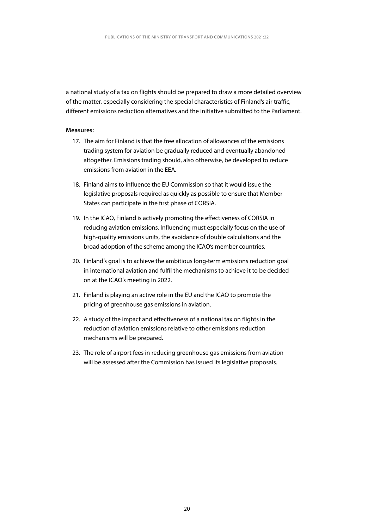a national study of a tax on flights should be prepared to draw a more detailed overview of the matter, especially considering the special characteristics of Finland's air traffic, different emissions reduction alternatives and the initiative submitted to the Parliament.

#### **Measures:**

- 17. The aim for Finland is that the free allocation of allowances of the emissions trading system for aviation be gradually reduced and eventually abandoned altogether. Emissions trading should, also otherwise, be developed to reduce emissions from aviation in the EEA.
- 18. Finland aims to influence the EU Commission so that it would issue the legislative proposals required as quickly as possible to ensure that Member States can participate in the first phase of CORSIA.
- 19. In the ICAO, Finland is actively promoting the effectiveness of CORSIA in reducing aviation emissions. Influencing must especially focus on the use of high-quality emissions units, the avoidance of double calculations and the broad adoption of the scheme among the ICAO's member countries.
- 20. Finland's goal is to achieve the ambitious long-term emissions reduction goal in international aviation and fulfil the mechanisms to achieve it to be decided on at the ICAO's meeting in 2022.
- 21. Finland is playing an active role in the EU and the ICAO to promote the pricing of greenhouse gas emissions in aviation.
- 22. A study of the impact and effectiveness of a national tax on flights in the reduction of aviation emissions relative to other emissions reduction mechanisms will be prepared.
- 23. The role of airport fees in reducing greenhouse gas emissions from aviation will be assessed after the Commission has issued its legislative proposals.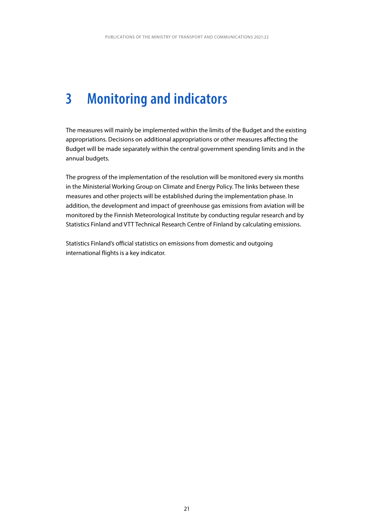## <span id="page-21-0"></span>**3 Monitoring and indicators**

The measures will mainly be implemented within the limits of the Budget and the existing appropriations. Decisions on additional appropriations or other measures affecting the Budget will be made separately within the central government spending limits and in the annual budgets.

The progress of the implementation of the resolution will be monitored every six months in the Ministerial Working Group on Climate and Energy Policy. The links between these measures and other projects will be established during the implementation phase. In addition, the development and impact of greenhouse gas emissions from aviation will be monitored by the Finnish Meteorological Institute by conducting regular research and by Statistics Finland and VTT Technical Research Centre of Finland by calculating emissions.

Statistics Finland's official statistics on emissions from domestic and outgoing international flights is a key indicator.